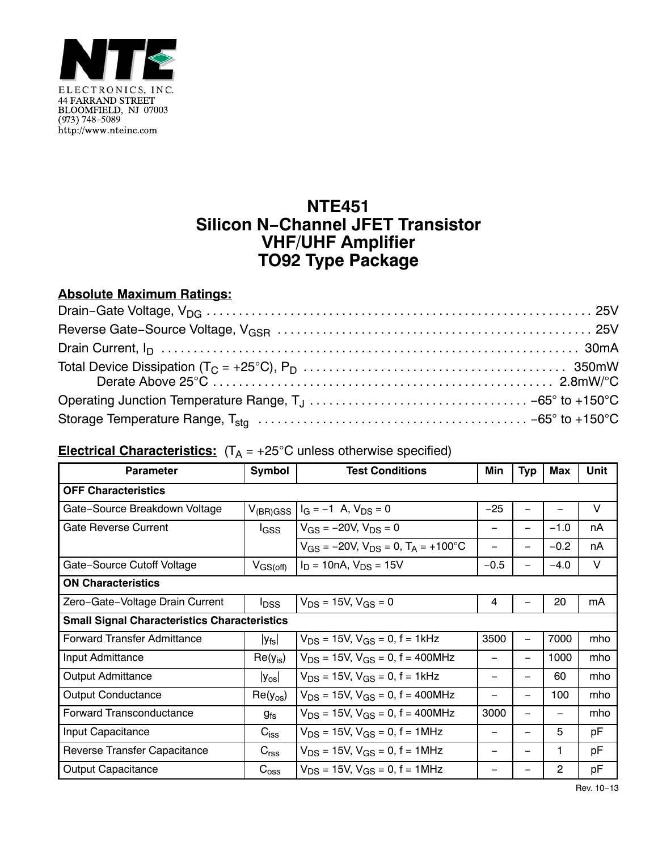

## **NTE451 Silicon N−Channel JFET Transistor VHF/UHF Amplifier TO92 Type Package**

## **Absolute Maximum Ratings:**

## **Electrical Characteristics:** (T<sub>A</sub> = +25°C unless otherwise specified)

| <b>Parameter</b>                                    | <b>Symbol</b>           | <b>Test Conditions</b>                        |                          | Typ                      | <b>Max</b> | Unit |  |  |  |
|-----------------------------------------------------|-------------------------|-----------------------------------------------|--------------------------|--------------------------|------------|------|--|--|--|
| <b>OFF Characteristics</b>                          |                         |                                               |                          |                          |            |      |  |  |  |
| Gate-Source Breakdown Voltage                       |                         | $V_{(BR)GSS}$ $I_G = -1$ A, $V_{DS} = 0$      | $-25$                    |                          |            | V    |  |  |  |
| <b>Gate Reverse Current</b>                         | l <sub>GSS</sub>        | $V_{GS} = -20V$ , $V_{DS} = 0$                |                          |                          | $-1.0$     | nA   |  |  |  |
|                                                     |                         | $V_{GS}$ = -20V, $V_{DS}$ = 0, $T_A$ = +100°C |                          |                          | $-0.2$     | nA   |  |  |  |
| Gate-Source Cutoff Voltage                          | $V_{GS(off)}$           | $I_D = 10nA$ , $V_{DS} = 15V$                 | $-0.5$                   | $\overline{\phantom{0}}$ | $-4.0$     | V    |  |  |  |
| <b>ON Characteristics</b>                           |                         |                                               |                          |                          |            |      |  |  |  |
| Zero-Gate-Voltage Drain Current                     | <b>I</b> <sub>DSS</sub> | $V_{DS}$ = 15V, $V_{GS}$ = 0                  | 4                        |                          | 20         | mA   |  |  |  |
| <b>Small Signal Characteristics Characteristics</b> |                         |                                               |                          |                          |            |      |  |  |  |
| <b>Forward Transfer Admittance</b>                  | $ y_{fs} $              | $V_{DS}$ = 15V, $V_{GS}$ = 0, f = 1kHz        | 3500                     | $\overline{\phantom{0}}$ | 7000       | mho  |  |  |  |
| Input Admittance                                    | $Re(y_{is})$            | $V_{DS}$ = 15V, $V_{GS}$ = 0, f = 400MHz      |                          | $\qquad \qquad -$        | 1000       | mho  |  |  |  |
| <b>Output Admittance</b>                            | $ y_{os} $              | $V_{DS}$ = 15V, $V_{GS}$ = 0, f = 1kHz        | $\overline{\phantom{m}}$ | $\qquad \qquad -$        | 60         | mho  |  |  |  |
| <b>Output Conductance</b>                           | $Re(y_{os})$            | $V_{DS}$ = 15V, $V_{GS}$ = 0, f = 400MHz      |                          | $\overline{\phantom{0}}$ | 100        | mho  |  |  |  |
| <b>Forward Transconductance</b>                     | $g_{fs}$                | $V_{DS}$ = 15V, $V_{GS}$ = 0, f = 400MHz      | 3000                     | —                        |            | mho  |  |  |  |
| Input Capacitance                                   | $C_{\text{iss}}$        | $V_{DS}$ = 15V, $V_{GS}$ = 0, f = 1MHz        | $\overline{\phantom{m}}$ | -                        | 5          | рF   |  |  |  |
| Reverse Transfer Capacitance                        | C <sub>rss</sub>        | $V_{DS}$ = 15V, $V_{GS}$ = 0, f = 1MHz        |                          |                          | 1          | рF   |  |  |  |
| <b>Output Capacitance</b>                           | $C_{\text{oss}}$        | $V_{DS}$ = 15V, $V_{GS}$ = 0, f = 1MHz        |                          |                          | 2          | pF   |  |  |  |